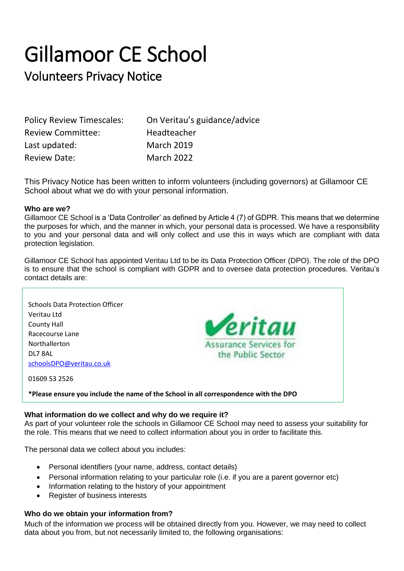## Gillamoor CE School

### Volunteers Privacy Notice

| <b>Policy Review Timescales:</b> | On Veritau's guidance/advice |
|----------------------------------|------------------------------|
| <b>Review Committee:</b>         | Headteacher                  |
| Last updated:                    | <b>March 2019</b>            |
| <b>Review Date:</b>              | <b>March 2022</b>            |

This Privacy Notice has been written to inform volunteers (including governors) at Gillamoor CE School about what we do with your personal information.

#### **Who are we?**

Gillamoor CE School is a 'Data Controller' as defined by Article 4 (7) of GDPR. This means that we determine the purposes for which, and the manner in which, your personal data is processed. We have a responsibility to you and your personal data and will only collect and use this in ways which are compliant with data protection legislation.

Gillamoor CE School has appointed Veritau Ltd to be its Data Protection Officer (DPO). The role of the DPO is to ensure that the school is compliant with GDPR and to oversee data protection procedures. Veritau's contact details are:



#### **What information do we collect and why do we require it?**

As part of your volunteer role the schools in Gillamoor CE School may need to assess your suitability for the role. This means that we need to collect information about you in order to facilitate this.

The personal data we collect about you includes:

- Personal identifiers (your name, address, contact details)
- Personal information relating to your particular role (i.e. if you are a parent governor etc)
- Information relating to the history of your appointment
- Register of business interests

#### **Who do we obtain your information from?**

Much of the information we process will be obtained directly from you. However, we may need to collect data about you from, but not necessarily limited to, the following organisations: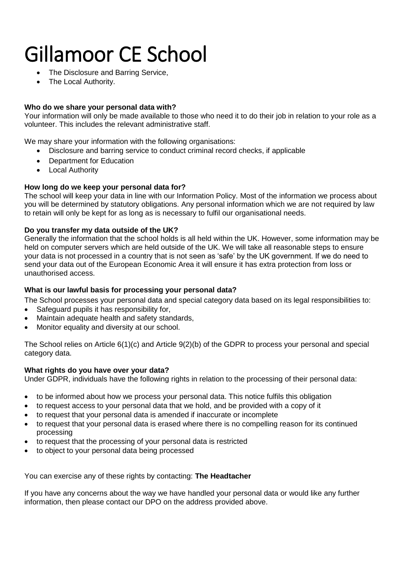## Gillamoor CE School

- The Disclosure and Barring Service,
- The Local Authority.

#### **Who do we share your personal data with?**

Your information will only be made available to those who need it to do their job in relation to your role as a volunteer. This includes the relevant administrative staff.

We may share your information with the following organisations:

- Disclosure and barring service to conduct criminal record checks, if applicable
- Department for Education
- Local Authority

#### **How long do we keep your personal data for?**

The school will keep your data in line with our Information Policy. Most of the information we process about you will be determined by statutory obligations. Any personal information which we are not required by law to retain will only be kept for as long as is necessary to fulfil our organisational needs.

#### **Do you transfer my data outside of the UK?**

Generally the information that the school holds is all held within the UK. However, some information may be held on computer servers which are held outside of the UK. We will take all reasonable steps to ensure your data is not processed in a country that is not seen as 'safe' by the UK government. If we do need to send your data out of the European Economic Area it will ensure it has extra protection from loss or unauthorised access.

#### **What is our lawful basis for processing your personal data?**

The School processes your personal data and special category data based on its legal responsibilities to:

- Safeguard pupils it has responsibility for,
- Maintain adequate health and safety standards,
- Monitor equality and diversity at our school.

The School relies on Article 6(1)(c) and Article 9(2)(b) of the GDPR to process your personal and special category data.

#### **What rights do you have over your data?**

Under GDPR, individuals have the following rights in relation to the processing of their personal data:

- to be informed about how we process your personal data. This notice fulfils this obligation
- to request access to your personal data that we hold, and be provided with a copy of it
- to request that your personal data is amended if inaccurate or incomplete
- to request that your personal data is erased where there is no compelling reason for its continued processing
- to request that the processing of your personal data is restricted
- to object to your personal data being processed

You can exercise any of these rights by contacting: **The Headtacher**

If you have any concerns about the way we have handled your personal data or would like any further information, then please contact our DPO on the address provided above.